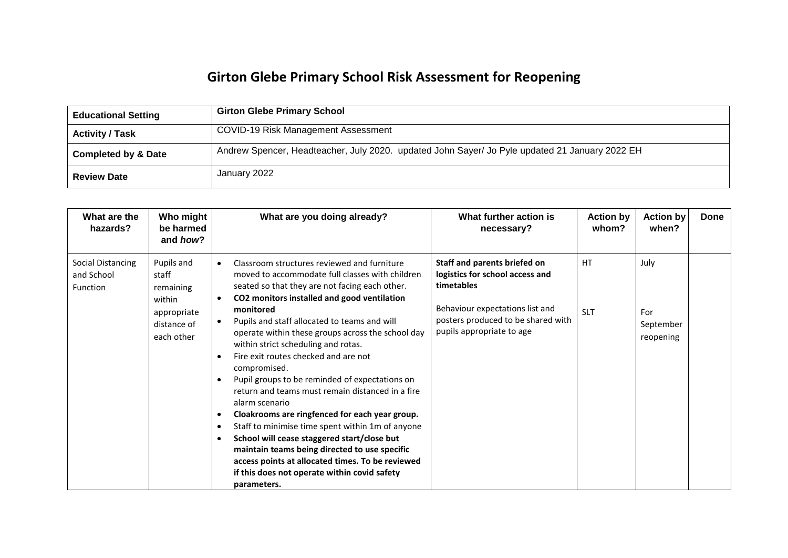## **Girton Glebe Primary School Risk Assessment for Reopening**

| <b>Educational Setting</b>     | <b>Girton Glebe Primary School</b>                                                             |
|--------------------------------|------------------------------------------------------------------------------------------------|
| <b>Activity / Task</b>         | COVID-19 Risk Management Assessment                                                            |
| <b>Completed by &amp; Date</b> | Andrew Spencer, Headteacher, July 2020. updated John Sayer/ Jo Pyle updated 21 January 2022 EH |
| <b>Review Date</b>             | January 2022                                                                                   |

| What are the<br>hazards?                           | Who might<br>be harmed<br>and how?                                                     | What are you doing already?                                                                                                                                                                                                                                                                                                                                                                                                                                                                                                                                                                                                                                                                                                                                                                                                                                                         | What further action is<br>necessary?                                                                                                                                                | <b>Action by</b><br>whom? | <b>Action by</b><br>when?             | Done |
|----------------------------------------------------|----------------------------------------------------------------------------------------|-------------------------------------------------------------------------------------------------------------------------------------------------------------------------------------------------------------------------------------------------------------------------------------------------------------------------------------------------------------------------------------------------------------------------------------------------------------------------------------------------------------------------------------------------------------------------------------------------------------------------------------------------------------------------------------------------------------------------------------------------------------------------------------------------------------------------------------------------------------------------------------|-------------------------------------------------------------------------------------------------------------------------------------------------------------------------------------|---------------------------|---------------------------------------|------|
| <b>Social Distancing</b><br>and School<br>Function | Pupils and<br>staff<br>remaining<br>within<br>appropriate<br>distance of<br>each other | Classroom structures reviewed and furniture<br>$\bullet$<br>moved to accommodate full classes with children<br>seated so that they are not facing each other.<br>CO2 monitors installed and good ventilation<br>monitored<br>Pupils and staff allocated to teams and will<br>operate within these groups across the school day<br>within strict scheduling and rotas.<br>Fire exit routes checked and are not<br>compromised.<br>Pupil groups to be reminded of expectations on<br>return and teams must remain distanced in a fire<br>alarm scenario<br>Cloakrooms are ringfenced for each year group.<br>Staff to minimise time spent within 1m of anyone<br>٠<br>School will cease staggered start/close but<br>maintain teams being directed to use specific<br>access points at allocated times. To be reviewed<br>if this does not operate within covid safety<br>parameters. | Staff and parents briefed on<br>logistics for school access and<br>timetables<br>Behaviour expectations list and<br>posters produced to be shared with<br>pupils appropriate to age | <b>HT</b><br><b>SLT</b>   | July<br>For<br>September<br>reopening |      |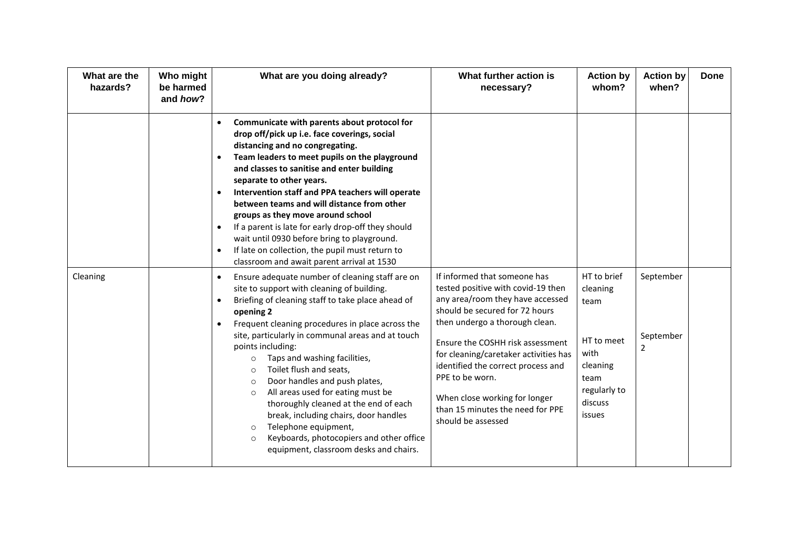| What are the<br>hazards? | Who might<br>be harmed<br>and how? | What are you doing already?                                                                                                                                                                                                                                                                                                                                                                                                                                                                                                                                                                                                                                                                                                | What further action is<br>necessary?                                                                                                                                                                                                                                                                                                                                                                        | <b>Action by</b><br>whom?                                                                                      | <b>Action by</b><br>when?   | <b>Done</b> |
|--------------------------|------------------------------------|----------------------------------------------------------------------------------------------------------------------------------------------------------------------------------------------------------------------------------------------------------------------------------------------------------------------------------------------------------------------------------------------------------------------------------------------------------------------------------------------------------------------------------------------------------------------------------------------------------------------------------------------------------------------------------------------------------------------------|-------------------------------------------------------------------------------------------------------------------------------------------------------------------------------------------------------------------------------------------------------------------------------------------------------------------------------------------------------------------------------------------------------------|----------------------------------------------------------------------------------------------------------------|-----------------------------|-------------|
|                          |                                    | Communicate with parents about protocol for<br>$\bullet$<br>drop off/pick up i.e. face coverings, social<br>distancing and no congregating.<br>Team leaders to meet pupils on the playground<br>$\bullet$<br>and classes to sanitise and enter building<br>separate to other years.<br>Intervention staff and PPA teachers will operate<br>$\bullet$<br>between teams and will distance from other<br>groups as they move around school<br>If a parent is late for early drop-off they should<br>$\bullet$<br>wait until 0930 before bring to playground.<br>If late on collection, the pupil must return to<br>$\bullet$<br>classroom and await parent arrival at 1530                                                    |                                                                                                                                                                                                                                                                                                                                                                                                             |                                                                                                                |                             |             |
| Cleaning                 |                                    | Ensure adequate number of cleaning staff are on<br>$\bullet$<br>site to support with cleaning of building.<br>Briefing of cleaning staff to take place ahead of<br>$\bullet$<br>opening 2<br>Frequent cleaning procedures in place across the<br>site, particularly in communal areas and at touch<br>points including:<br>Taps and washing facilities,<br>$\circ$<br>Toilet flush and seats,<br>$\circ$<br>Door handles and push plates,<br>$\circ$<br>All areas used for eating must be<br>$\circ$<br>thoroughly cleaned at the end of each<br>break, including chairs, door handles<br>Telephone equipment,<br>$\circ$<br>Keyboards, photocopiers and other office<br>$\circ$<br>equipment, classroom desks and chairs. | If informed that someone has<br>tested positive with covid-19 then<br>any area/room they have accessed<br>should be secured for 72 hours<br>then undergo a thorough clean.<br>Ensure the COSHH risk assessment<br>for cleaning/caretaker activities has<br>identified the correct process and<br>PPE to be worn.<br>When close working for longer<br>than 15 minutes the need for PPE<br>should be assessed | HT to brief<br>cleaning<br>team<br>HT to meet<br>with<br>cleaning<br>team<br>regularly to<br>discuss<br>issues | September<br>September<br>2 |             |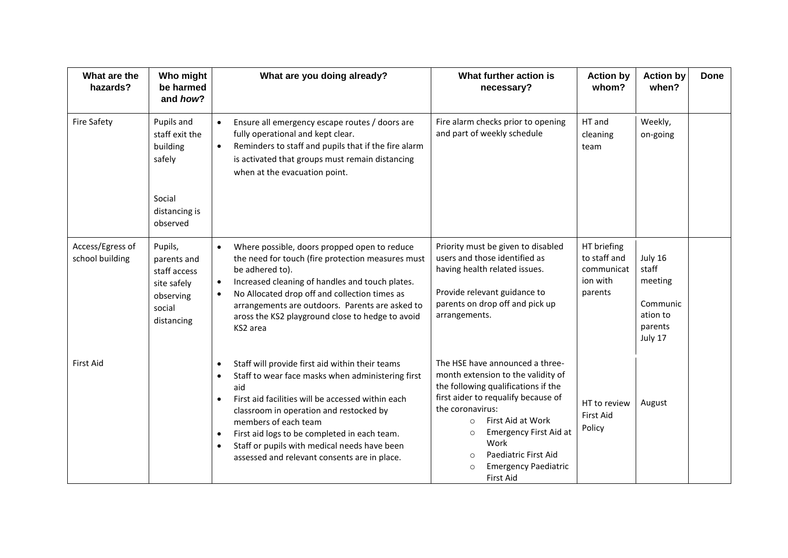| What are the<br>hazards?            | Who might<br>be harmed<br>and how?                                                         | What are you doing already?                                                                                                                                                                                                                                                                                                                                                                                   | What further action is<br>necessary?                                                                                                                                                                                                                                                                                                                  | <b>Action by</b><br>whom?                                        | <b>Action by</b><br>when?                                                 | <b>Done</b> |
|-------------------------------------|--------------------------------------------------------------------------------------------|---------------------------------------------------------------------------------------------------------------------------------------------------------------------------------------------------------------------------------------------------------------------------------------------------------------------------------------------------------------------------------------------------------------|-------------------------------------------------------------------------------------------------------------------------------------------------------------------------------------------------------------------------------------------------------------------------------------------------------------------------------------------------------|------------------------------------------------------------------|---------------------------------------------------------------------------|-------------|
| <b>Fire Safety</b>                  | Pupils and<br>staff exit the<br>building<br>safely<br>Social                               | Ensure all emergency escape routes / doors are<br>fully operational and kept clear.<br>Reminders to staff and pupils that if the fire alarm<br>$\bullet$<br>is activated that groups must remain distancing<br>when at the evacuation point.                                                                                                                                                                  | Fire alarm checks prior to opening<br>and part of weekly schedule                                                                                                                                                                                                                                                                                     | HT and<br>cleaning<br>team                                       | Weekly,<br>on-going                                                       |             |
|                                     | distancing is<br>observed                                                                  |                                                                                                                                                                                                                                                                                                                                                                                                               |                                                                                                                                                                                                                                                                                                                                                       |                                                                  |                                                                           |             |
| Access/Egress of<br>school building | Pupils,<br>parents and<br>staff access<br>site safely<br>observing<br>social<br>distancing | Where possible, doors propped open to reduce<br>$\bullet$<br>the need for touch (fire protection measures must<br>be adhered to).<br>Increased cleaning of handles and touch plates.<br>$\bullet$<br>No Allocated drop off and collection times as<br>arrangements are outdoors. Parents are asked to<br>aross the KS2 playground close to hedge to avoid<br>KS2 area                                         | Priority must be given to disabled<br>users and those identified as<br>having health related issues.<br>Provide relevant guidance to<br>parents on drop off and pick up<br>arrangements.                                                                                                                                                              | HT briefing<br>to staff and<br>communicat<br>ion with<br>parents | July 16<br>staff<br>meeting<br>Communic<br>ation to<br>parents<br>July 17 |             |
| <b>First Aid</b>                    |                                                                                            | Staff will provide first aid within their teams<br>$\bullet$<br>Staff to wear face masks when administering first<br>$\bullet$<br>aid<br>First aid facilities will be accessed within each<br>classroom in operation and restocked by<br>members of each team<br>First aid logs to be completed in each team.<br>Staff or pupils with medical needs have been<br>assessed and relevant consents are in place. | The HSE have announced a three-<br>month extension to the validity of<br>the following qualifications if the<br>first aider to requalify because of<br>the coronavirus:<br>First Aid at Work<br>$\circ$<br><b>Emergency First Aid at</b><br>$\circ$<br>Work<br>Paediatric First Aid<br>$\circ$<br><b>Emergency Paediatric</b><br>$\circ$<br>First Aid | HT to review<br><b>First Aid</b><br>Policy                       | August                                                                    |             |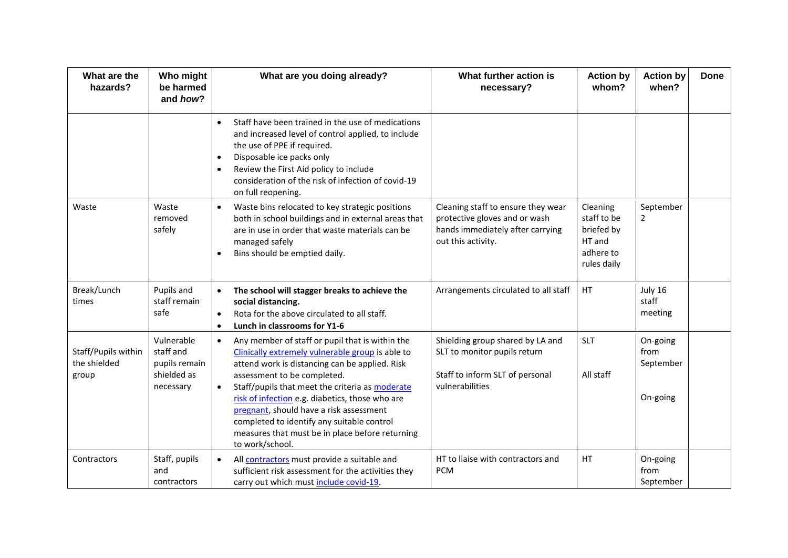| What are the<br>hazards?                     | Who might<br>be harmed<br>and how?                                   | What are you doing already?                                                                                                                                                                                                                                                                                                                                                                                                                                                         | What further action is<br>necessary?                                                                                          | <b>Action by</b><br>whom?                                                   | <b>Action by</b><br>when?                 | <b>Done</b> |
|----------------------------------------------|----------------------------------------------------------------------|-------------------------------------------------------------------------------------------------------------------------------------------------------------------------------------------------------------------------------------------------------------------------------------------------------------------------------------------------------------------------------------------------------------------------------------------------------------------------------------|-------------------------------------------------------------------------------------------------------------------------------|-----------------------------------------------------------------------------|-------------------------------------------|-------------|
|                                              |                                                                      | Staff have been trained in the use of medications<br>$\bullet$<br>and increased level of control applied, to include<br>the use of PPE if required.<br>Disposable ice packs only<br>$\bullet$<br>Review the First Aid policy to include<br>$\bullet$<br>consideration of the risk of infection of covid-19<br>on full reopening.                                                                                                                                                    |                                                                                                                               |                                                                             |                                           |             |
| Waste                                        | Waste<br>removed<br>safely                                           | Waste bins relocated to key strategic positions<br>$\bullet$<br>both in school buildings and in external areas that<br>are in use in order that waste materials can be<br>managed safely<br>Bins should be emptied daily.<br>$\bullet$                                                                                                                                                                                                                                              | Cleaning staff to ensure they wear<br>protective gloves and or wash<br>hands immediately after carrying<br>out this activity. | Cleaning<br>staff to be<br>briefed by<br>HT and<br>adhere to<br>rules daily | September<br>$\overline{2}$               |             |
| Break/Lunch<br>times                         | Pupils and<br>staff remain<br>safe                                   | The school will stagger breaks to achieve the<br>$\bullet$<br>social distancing.<br>Rota for the above circulated to all staff.<br>$\bullet$<br>Lunch in classrooms for Y1-6<br>$\bullet$                                                                                                                                                                                                                                                                                           | Arrangements circulated to all staff                                                                                          | HT                                                                          | July 16<br>staff<br>meeting               |             |
| Staff/Pupils within<br>the shielded<br>group | Vulnerable<br>staff and<br>pupils remain<br>shielded as<br>necessary | Any member of staff or pupil that is within the<br>$\bullet$<br>Clinically extremely vulnerable group is able to<br>attend work is distancing can be applied. Risk<br>assessment to be completed.<br>Staff/pupils that meet the criteria as moderate<br>$\bullet$<br>risk of infection e.g. diabetics, those who are<br>pregnant, should have a risk assessment<br>completed to identify any suitable control<br>measures that must be in place before returning<br>to work/school. | Shielding group shared by LA and<br>SLT to monitor pupils return<br>Staff to inform SLT of personal<br>vulnerabilities        | <b>SLT</b><br>All staff                                                     | On-going<br>from<br>September<br>On-going |             |
| Contractors                                  | Staff, pupils<br>and<br>contractors                                  | All contractors must provide a suitable and<br>$\bullet$<br>sufficient risk assessment for the activities they<br>carry out which must include covid-19.                                                                                                                                                                                                                                                                                                                            | HT to liaise with contractors and<br><b>PCM</b>                                                                               | HT                                                                          | On-going<br>from<br>September             |             |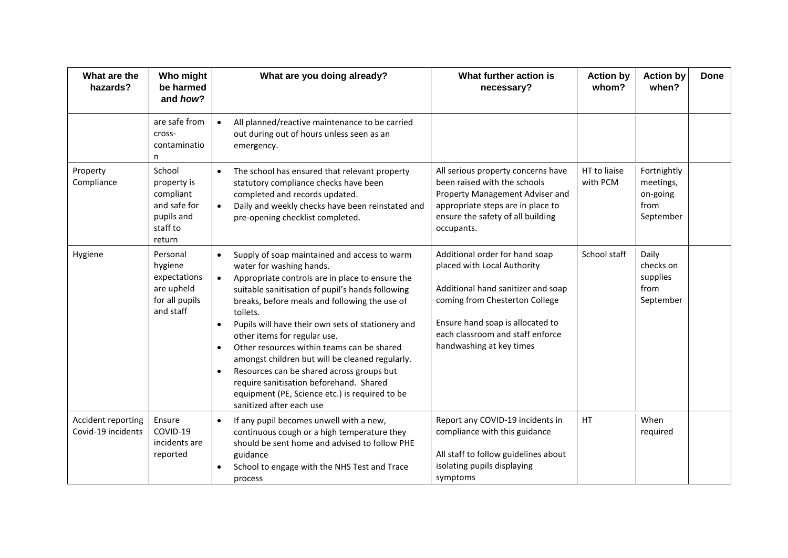| What are the<br>hazards?                 | Who might<br>be harmed<br>and how?                                                     | What are you doing already?                                                                                                                                                                                                                                                                                                                                                                                                                                                                                                                                                                                                                                  | What further action is<br>necessary?                                                                                                                                                                                                      | <b>Action by</b><br>whom? | <b>Action by</b><br>when?                                 | <b>Done</b> |
|------------------------------------------|----------------------------------------------------------------------------------------|--------------------------------------------------------------------------------------------------------------------------------------------------------------------------------------------------------------------------------------------------------------------------------------------------------------------------------------------------------------------------------------------------------------------------------------------------------------------------------------------------------------------------------------------------------------------------------------------------------------------------------------------------------------|-------------------------------------------------------------------------------------------------------------------------------------------------------------------------------------------------------------------------------------------|---------------------------|-----------------------------------------------------------|-------------|
|                                          | are safe from<br>cross-<br>contaminatio<br>n                                           | All planned/reactive maintenance to be carried<br>$\bullet$<br>out during out of hours unless seen as an<br>emergency.                                                                                                                                                                                                                                                                                                                                                                                                                                                                                                                                       |                                                                                                                                                                                                                                           |                           |                                                           |             |
| Property<br>Compliance                   | School<br>property is<br>compliant<br>and safe for<br>pupils and<br>staff to<br>return | The school has ensured that relevant property<br>statutory compliance checks have been<br>completed and records updated.<br>Daily and weekly checks have been reinstated and<br>$\bullet$<br>pre-opening checklist completed.                                                                                                                                                                                                                                                                                                                                                                                                                                | All serious property concerns have<br>been raised with the schools<br>Property Management Adviser and<br>appropriate steps are in place to<br>ensure the safety of all building<br>occupants.                                             | HT to liaise<br>with PCM  | Fortnightly<br>meetings,<br>on-going<br>from<br>September |             |
| Hygiene                                  | Personal<br>hygiene<br>expectations<br>are upheld<br>for all pupils<br>and staff       | Supply of soap maintained and access to warm<br>$\bullet$<br>water for washing hands.<br>Appropriate controls are in place to ensure the<br>$\bullet$<br>suitable sanitisation of pupil's hands following<br>breaks, before meals and following the use of<br>toilets.<br>Pupils will have their own sets of stationery and<br>other items for regular use.<br>Other resources within teams can be shared<br>$\bullet$<br>amongst children but will be cleaned regularly.<br>Resources can be shared across groups but<br>$\bullet$<br>require sanitisation beforehand. Shared<br>equipment (PE, Science etc.) is required to be<br>sanitized after each use | Additional order for hand soap<br>placed with Local Authority<br>Additional hand sanitizer and soap<br>coming from Chesterton College<br>Ensure hand soap is allocated to<br>each classroom and staff enforce<br>handwashing at key times | School staff              | Daily<br>checks on<br>supplies<br>from<br>September       |             |
| Accident reporting<br>Covid-19 incidents | Ensure<br>COVID-19<br>incidents are<br>reported                                        | If any pupil becomes unwell with a new,<br>$\bullet$<br>continuous cough or a high temperature they<br>should be sent home and advised to follow PHE<br>guidance<br>School to engage with the NHS Test and Trace<br>process                                                                                                                                                                                                                                                                                                                                                                                                                                  | Report any COVID-19 incidents in<br>compliance with this guidance<br>All staff to follow guidelines about<br>isolating pupils displaying<br>symptoms                                                                                      | HT                        | When<br>required                                          |             |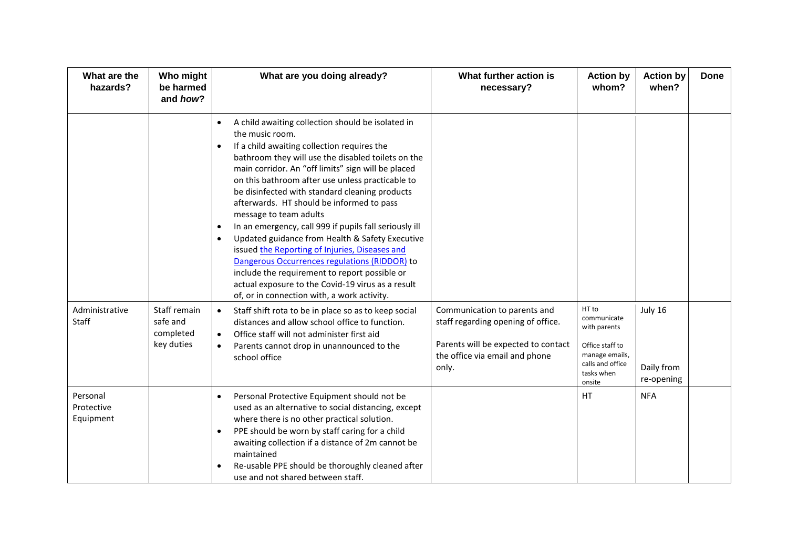| What are the<br>hazards?            | Who might<br>be harmed<br>and how?    | What are you doing already?                                                                                                                                                                                                                                                                                                                                                                                                                                                                                                                                                                                                                                                                                                                                                                                                                                                                                                                                                                                             | What further action is<br>necessary?                                           | <b>Action by</b><br>whom?                                                     | <b>Action by</b><br>when? | <b>Done</b> |
|-------------------------------------|---------------------------------------|-------------------------------------------------------------------------------------------------------------------------------------------------------------------------------------------------------------------------------------------------------------------------------------------------------------------------------------------------------------------------------------------------------------------------------------------------------------------------------------------------------------------------------------------------------------------------------------------------------------------------------------------------------------------------------------------------------------------------------------------------------------------------------------------------------------------------------------------------------------------------------------------------------------------------------------------------------------------------------------------------------------------------|--------------------------------------------------------------------------------|-------------------------------------------------------------------------------|---------------------------|-------------|
| Administrative<br>Staff             | Staff remain<br>safe and<br>completed | A child awaiting collection should be isolated in<br>$\bullet$<br>the music room.<br>If a child awaiting collection requires the<br>$\bullet$<br>bathroom they will use the disabled toilets on the<br>main corridor. An "off limits" sign will be placed<br>on this bathroom after use unless practicable to<br>be disinfected with standard cleaning products<br>afterwards. HT should be informed to pass<br>message to team adults<br>In an emergency, call 999 if pupils fall seriously ill<br>$\bullet$<br>Updated guidance from Health & Safety Executive<br>$\bullet$<br>issued the Reporting of Injuries, Diseases and<br>Dangerous Occurrences regulations (RIDDOR) to<br>include the requirement to report possible or<br>actual exposure to the Covid-19 virus as a result<br>of, or in connection with, a work activity.<br>Staff shift rota to be in place so as to keep social<br>$\bullet$<br>distances and allow school office to function.<br>Office staff will not administer first aid<br>$\bullet$ | Communication to parents and<br>staff regarding opening of office.             | HT to<br>communicate<br>with parents                                          | July 16                   |             |
|                                     | key duties                            | Parents cannot drop in unannounced to the<br>$\bullet$<br>school office                                                                                                                                                                                                                                                                                                                                                                                                                                                                                                                                                                                                                                                                                                                                                                                                                                                                                                                                                 | Parents will be expected to contact<br>the office via email and phone<br>only. | Office staff to<br>manage emails,<br>calls and office<br>tasks when<br>onsite | Daily from<br>re-opening  |             |
| Personal<br>Protective<br>Equipment |                                       | Personal Protective Equipment should not be<br>$\bullet$<br>used as an alternative to social distancing, except<br>where there is no other practical solution.<br>PPE should be worn by staff caring for a child<br>$\bullet$<br>awaiting collection if a distance of 2m cannot be<br>maintained<br>Re-usable PPE should be thoroughly cleaned after<br>use and not shared between staff.                                                                                                                                                                                                                                                                                                                                                                                                                                                                                                                                                                                                                               |                                                                                | HT                                                                            | <b>NFA</b>                |             |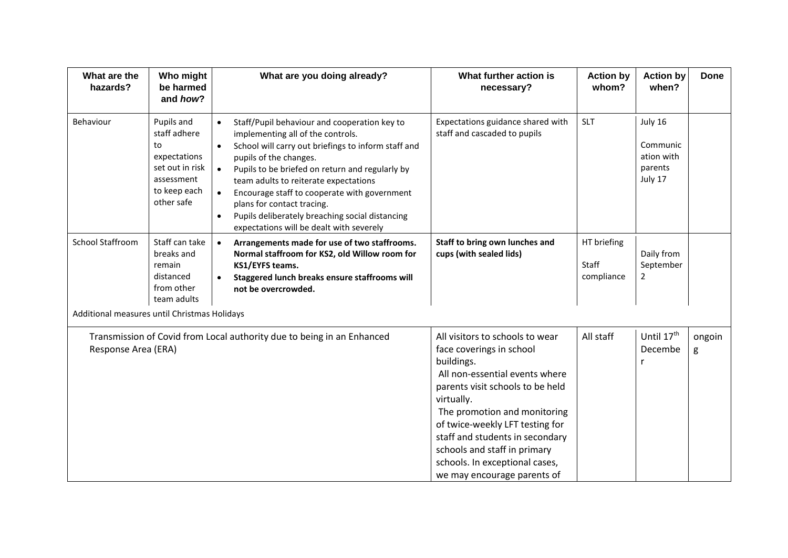| What are the<br>hazards?                     | Who might<br>be harmed<br>and how?                                                                              | What are you doing already?                                                                                                                                                                                                                                                                                                                                                                                                                                                                                  | What further action is<br>necessary?                                                                                                                                                                                                                                                                                                                                 | <b>Action by</b><br>whom?          | <b>Action by</b><br>when?                               | <b>Done</b> |
|----------------------------------------------|-----------------------------------------------------------------------------------------------------------------|--------------------------------------------------------------------------------------------------------------------------------------------------------------------------------------------------------------------------------------------------------------------------------------------------------------------------------------------------------------------------------------------------------------------------------------------------------------------------------------------------------------|----------------------------------------------------------------------------------------------------------------------------------------------------------------------------------------------------------------------------------------------------------------------------------------------------------------------------------------------------------------------|------------------------------------|---------------------------------------------------------|-------------|
| Behaviour                                    | Pupils and<br>staff adhere<br>to<br>expectations<br>set out in risk<br>assessment<br>to keep each<br>other safe | Staff/Pupil behaviour and cooperation key to<br>$\bullet$<br>implementing all of the controls.<br>School will carry out briefings to inform staff and<br>$\bullet$<br>pupils of the changes.<br>Pupils to be briefed on return and regularly by<br>$\bullet$<br>team adults to reiterate expectations<br>Encourage staff to cooperate with government<br>$\bullet$<br>plans for contact tracing.<br>Pupils deliberately breaching social distancing<br>$\bullet$<br>expectations will be dealt with severely | Expectations guidance shared with<br>staff and cascaded to pupils                                                                                                                                                                                                                                                                                                    | <b>SLT</b>                         | July 16<br>Communic<br>ation with<br>parents<br>July 17 |             |
| <b>School Staffroom</b>                      | Staff can take<br>breaks and<br>remain<br>distanced<br>from other<br>team adults                                | Arrangements made for use of two staffrooms.<br>$\bullet$<br>Normal staffroom for KS2, old Willow room for<br>KS1/EYFS teams.<br>Staggered lunch breaks ensure staffrooms will<br>not be overcrowded.                                                                                                                                                                                                                                                                                                        | Staff to bring own lunches and<br>cups (with sealed lids)                                                                                                                                                                                                                                                                                                            | HT briefing<br>Staff<br>compliance | Daily from<br>September<br>$\overline{2}$               |             |
| Additional measures until Christmas Holidays |                                                                                                                 |                                                                                                                                                                                                                                                                                                                                                                                                                                                                                                              |                                                                                                                                                                                                                                                                                                                                                                      |                                    |                                                         |             |
| Response Area (ERA)                          |                                                                                                                 | Transmission of Covid from Local authority due to being in an Enhanced                                                                                                                                                                                                                                                                                                                                                                                                                                       | All visitors to schools to wear<br>face coverings in school<br>buildings.<br>All non-essential events where<br>parents visit schools to be held<br>virtually.<br>The promotion and monitoring<br>of twice-weekly LFT testing for<br>staff and students in secondary<br>schools and staff in primary<br>schools. In exceptional cases,<br>we may encourage parents of | All staff                          | Until 17th<br>Decembe<br>r                              | ongoin<br>g |